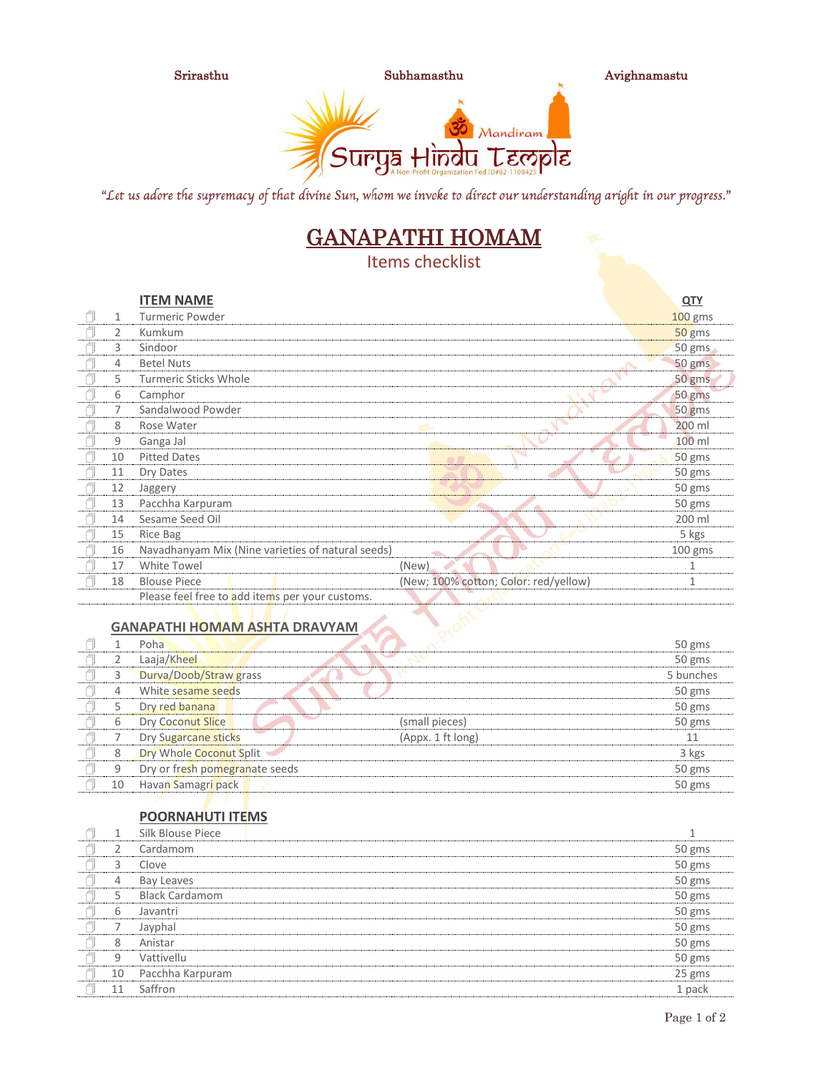





"Let us adore the supremacy of that divine Sun, whom we invoke to direct our understanding aright in our progress."

# GANAPATHI HOMAM

Items checklist

|    | <b>ITEM NAME</b>                                  |                                       | <u>QTY</u> |
|----|---------------------------------------------------|---------------------------------------|------------|
| 1  | <b>Turmeric Powder</b>                            |                                       | $100$ gms  |
| 2  | Kumkum                                            |                                       | 50 gms     |
| 3  | Sindoor                                           |                                       | $50$ gms   |
| 4  | <b>Betel Nuts</b>                                 |                                       | 50 gms     |
| 5. | <b>Turmeric Sticks Whole</b>                      |                                       | 50 gms     |
| 6  | Camphor                                           |                                       | 50 gms     |
|    | Sandalwood Powder                                 |                                       | 50 gms     |
| 8  | Rose Water                                        |                                       | 200 ml     |
| 9  | Ganga Jal                                         |                                       | 100 ml     |
| 10 | <b>Pitted Dates</b>                               | 50                                    | 50 gms     |
| 11 | Dry Dates                                         |                                       | 50 gms     |
| 12 | Jaggery                                           |                                       | 50 gms     |
| 13 | Pacchha Karpuram                                  |                                       | 50 gms     |
| 14 | Sesame Seed Oil                                   |                                       | 200 ml     |
| 15 | Rice Bag                                          |                                       | 5 kgs      |
| 16 | Navadhanyam Mix (Nine varieties of natural seeds) |                                       | $100$ gms  |
| 17 | White Towel                                       | (New)                                 | 1          |
| 18 | <b>Blouse Piece</b>                               | (New; 100% cotton; Color: red/yellow) | 1          |
|    | .                                                 |                                       |            |

Please feel free to add items per your customs.

#### **GANAPATHI HOMAM ASHTA DRAVYAM**

|    | Poha                           |                   | 50 gms    |
|----|--------------------------------|-------------------|-----------|
|    | Laaja/Kheel                    |                   | 50 gms    |
|    | Durva/Doob/Straw grass         |                   | 5 bunches |
|    | White sesame seeds             |                   | 50 gms    |
|    | Dry red banana                 |                   | 50 gms    |
| 6  | <b>Dry Coconut Slice</b>       | (small pieces)    | 50 gms    |
|    | Dry Sugarcane sticks           | (Appx. 1 ft long) | 11        |
| 8  | Dry Whole Coconut Split        |                   | 3 kgs     |
| 9  | Dry or fresh pomegranate seeds |                   | 50 gms    |
| 10 | Havan Samagri pack             |                   | 50 gms    |

### **POORNAHUTI ITEMS**

|    | Silk Blouse Piece     |        |
|----|-----------------------|--------|
|    | Cardamom              | 50 gms |
| 3  | Clove                 | 50 gms |
| 4  | Bay Leaves            | 50 gms |
| 5  | <b>Black Cardamom</b> | 50 gms |
| 6  | Javantri              | 50 gms |
|    | Jayphal               | 50 gms |
| 8  | Anistar               | 50 gms |
| 9  | Vattivellu            | 50 gms |
| 10 | Pacchha Karpuram      | 25 gms |
| 11 | Saffron               | 1 pack |